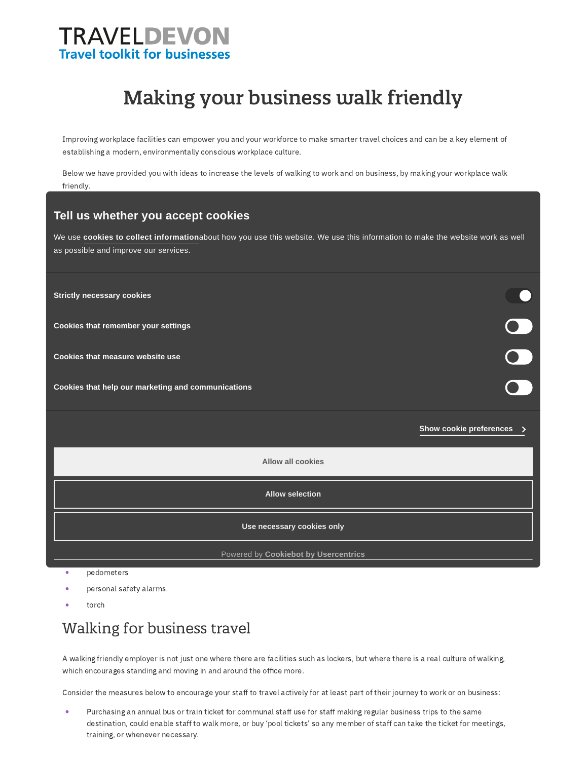# **TRAVELDEVON Travel toolkit for businesses**

# Making your business walk friendly

Improving workplace facilities can empower you and your workforce to make smarter travel choices and can be a key element of establishing a modern, environmentally conscious workplace culture.

Below we have provided you with ideas to increase the levels of walking to work and on business, by making your workplace walk friendly.

## Auditing your site **Tell us whether you accept cookies**

We use cookies to collect [information](https://www.traveldevontoolkit.info/privacy/cookies)about how you use this website. We use this information to make the website work as well as possible and improve our services.

Are there convenient and safe crossing points across roads for pedestrians? **Strictly necessary cookies**

Are pavements or paths flat, even and in reasonable repair? **Cookies that remember your settings**

Are there cars parked on footways or other obstructions? **Cookies that measure website use**

online 'Report a [problem'](https://new.devon.gov.uk/roadsandtransport/report-a-problem/) portal.

You can find out the local area 'walk [score'](http://www.walkscore.com/) for your site, which is based on the accessibility of local amenities. **Cookies that help our marketing and communications**

Onsite facilities for walking

especially if the weather is wet. They can also help reduce trip hazards around desks.

Offsite problems such as trip hazards, street lighting, overgrown vegetation can be reported on Devon County Council's **Show cookie preferences**

000

**Allow all cookies**

**Allow selection**

**Use necessary cookies only**

Powered by **Cookiebot by [Usercentrics](https://www.cookiebot.com/)**

pedometers

umbrellas

- personal safety alarms
- torch

#### Walking for business travel

A walking friendly employer is not just one where there are facilities such as lockers, but where there is a real culture of walking, which encourages standing and moving in and around the office more.

Consider the measures below to encourage your staff to travel actively for at least part of their journey to work or on business:

Purchasing an annual bus or train ticket for communal staff use for staff making regular business trips to the same destination, could enable staff to walk more, or buy 'pool tickets' so any member of staff can take the ticket for meetings, training, or whenever necessary.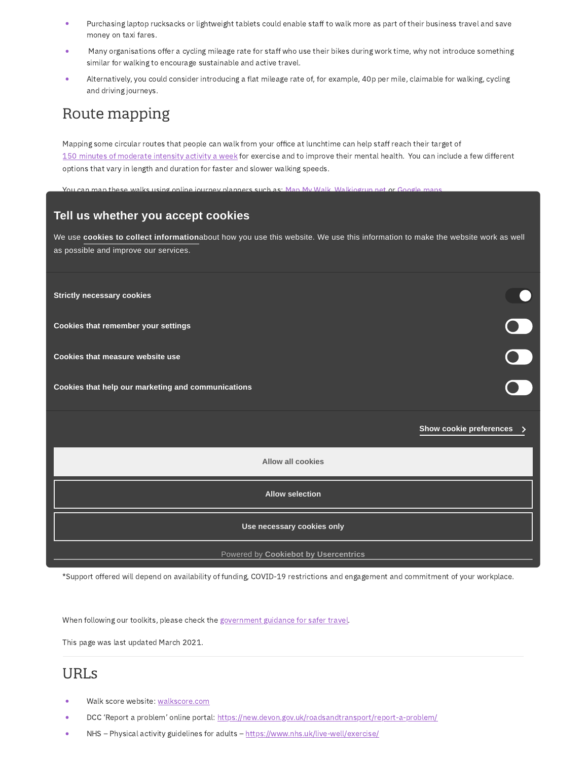- Purchasing laptop rucksacks or lightweight tablets could enable staff to walk more as part of their business travel and save money on taxi fares.
- Many organisations offer a cycling mileage rate for staff who use their bikes during work time, why not introduce something similar for walking to encourage sustainable and active travel.
- Alternatively, you could consider introducing a flat mileage rate of, for example, 40p per mile, claimable for walking, cycling and driving journeys.

## Route mapping

Mapping some circular routes that people can walk from your office at lunchtime can help staff reach their target of 150 minutes of [moderate](https://www.nhs.uk/live-well/exercise/) intensity activity a week for exercise and to improve their mental health. You can include a few different options that vary in length and duration for faster and slower walking speeds.

You can map these walking online journey planners such as: Ma

#### $\mathcal{A}$  is unkerpany website, intranet and on the company website, to gether with information on walking times  $\mathcal{A}$ and routes to the nearest bus stops and train stations. **Tell us whether you accept cookies**

This included information can also be included in the interview of the statistical information information and informations to visitors. The interview our services. We use **cookies to collect [information](https://www.traveldevontoolkit.info/privacy/cookies)**about how you use this website. We use this information to make the website work as well

A culture of walking and moving more can be supported by re-imagining the office environment as an active office. Promoting active **Strictly necessary cookies**

the working day. **Cookies that remember your settings**

and some providers offer free trials. **Cookies that measure website use**

Watch a TED talk about walking meetings – 'Sitting is the new smoking'. Get everyone to move around with each new agenda **Cookies that help [ourma](http://www.ted.com/talks/nilofer_merchant_got_a_meeting_take_a_walk)rketing and communications**

Further information and support

**Show cookie preferences**

**Allow all cookies**

More information on how to encourage your workplace to get moving can be found in the ['Promoting](http://www.traveldevontoolkit.info/promoting-walking/) walking' toolkit.

Active [Devon](https://www.activedevon.org/) is a community-focused, non-profit organisation dedicated to inspiring and supporting people in Devon to be active. **Allow selection**

They can help you get your workplace more active and support you with behaviour change campaigns, workplace challenges,

**Use necessary cookies only**

We now to encourage smarter travel to work at your work  $C$  or  $\mathcal{C}$  support to organisations who want to organisations who want to organisations who want to organisations who want to organisations who want to organisa enable their staff to travel more sustainably and actively. Please get in touch via [traveldevon@devon.gov.u](mailto:traveldevon@devon.gov.uk)[k](https://www.cookiebot.com/) for more information. Powered by **Cookiebot by Usercentrics**

\*Support offered will depend on availability of funding, COVID-19 restrictions and engagement and commitment of your workplace.

When following our toolkits, please check the [government](https://www.gov.uk/guidance/coronavirus-covid-19-safer-travel-guidance-for-passengers) guidance for safer travel.

This page was last updated March 2021.

#### URLs

- Walk score website: [walkscore.com](http://www.walkscore.com/)
- DCC 'Report a problem' online portal: <https://new.devon.gov.uk/roadsandtransport/report-a-problem/>
- NHS Physical activity guidelines for adults <https://www.nhs.uk/live-well/exercise/>